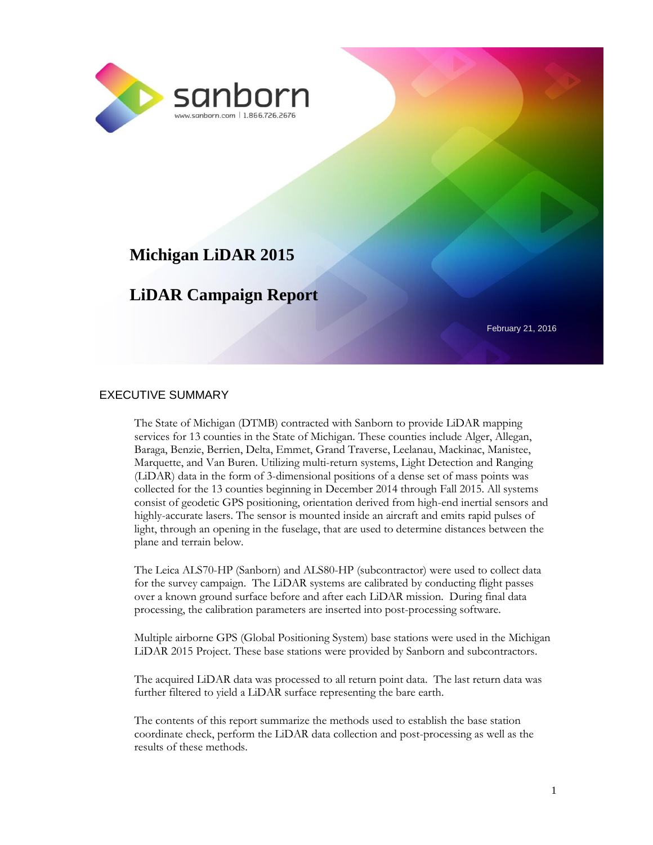

# **Michigan LiDAR 2015**

# **LiDAR Campaign Report**

February 21, 2016

#### EXECUTIVE SUMMARY

The State of Michigan (DTMB) contracted with Sanborn to provide LiDAR mapping services for 13 counties in the State of Michigan. These counties include Alger, Allegan, Baraga, Benzie, Berrien, Delta, Emmet, Grand Traverse, Leelanau, Mackinac, Manistee, Marquette, and Van Buren. Utilizing multi-return systems, Light Detection and Ranging (LiDAR) data in the form of 3-dimensional positions of a dense set of mass points was collected for the 13 counties beginning in December 2014 through Fall 2015. All systems consist of geodetic GPS positioning, orientation derived from high-end inertial sensors and highly-accurate lasers. The sensor is mounted inside an aircraft and emits rapid pulses of light, through an opening in the fuselage, that are used to determine distances between the plane and terrain below.

The Leica ALS70-HP (Sanborn) and ALS80-HP (subcontractor) were used to collect data for the survey campaign. The LiDAR systems are calibrated by conducting flight passes over a known ground surface before and after each LiDAR mission. During final data processing, the calibration parameters are inserted into post-processing software.

Multiple airborne GPS (Global Positioning System) base stations were used in the Michigan LiDAR 2015 Project. These base stations were provided by Sanborn and subcontractors.

The acquired LiDAR data was processed to all return point data. The last return data was further filtered to yield a LiDAR surface representing the bare earth.

The contents of this report summarize the methods used to establish the base station coordinate check, perform the LiDAR data collection and post-processing as well as the results of these methods.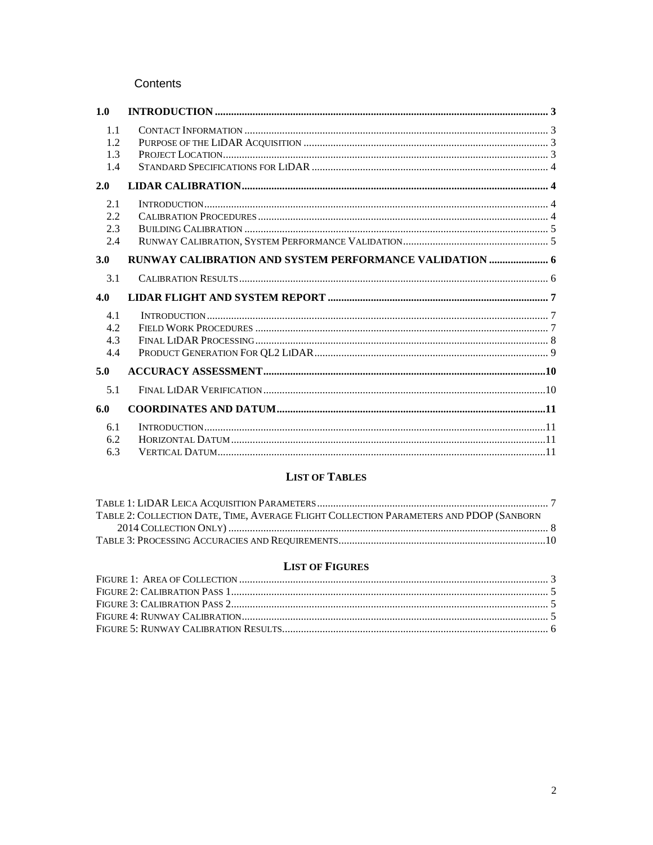#### Contents

| 1.0                      |                                                         |  |
|--------------------------|---------------------------------------------------------|--|
| 1.1<br>1.2<br>1.3<br>1.4 |                                                         |  |
| 2.0                      |                                                         |  |
| 2.1<br>2.2<br>2.3<br>2.4 |                                                         |  |
| 3.0                      | RUNWAY CALIBRATION AND SYSTEM PERFORMANCE VALIDATION  6 |  |
| 3.1                      |                                                         |  |
| 4.0                      |                                                         |  |
| 4.1<br>4.2<br>4.3<br>4.4 |                                                         |  |
| 5.0                      |                                                         |  |
| 5.1                      |                                                         |  |
| 6.0                      |                                                         |  |
| 6.1<br>6.2<br>6.3        |                                                         |  |

#### **LIST OF TABLES**

| TABLE 2: COLLECTION DATE. TIME, AVERAGE FLIGHT COLLECTION PARAMETERS AND PDOP (SANBORN |  |
|----------------------------------------------------------------------------------------|--|
|                                                                                        |  |
|                                                                                        |  |

#### **LIST OF FIGURES**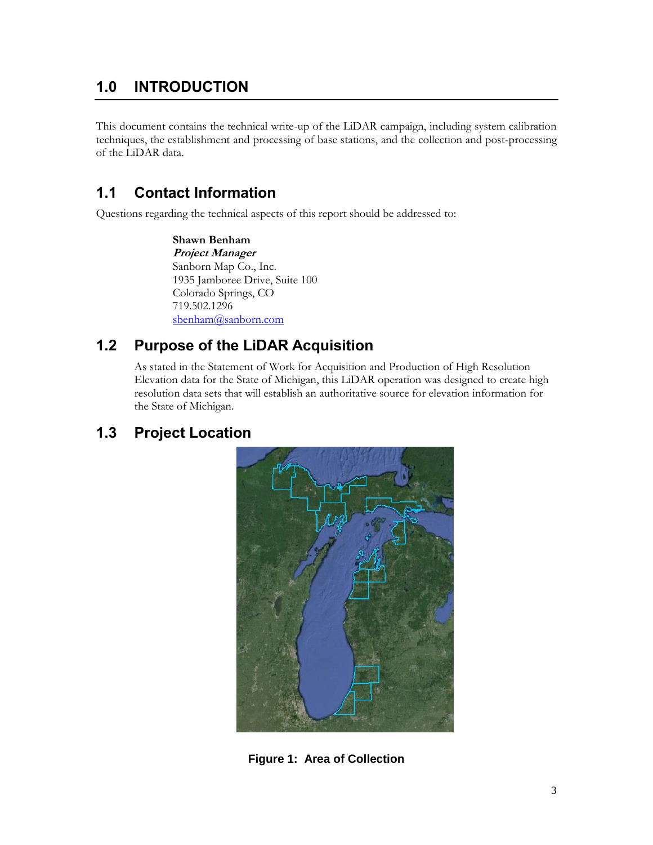# <span id="page-2-0"></span>**1.0 INTRODUCTION**

This document contains the technical write-up of the LiDAR campaign, including system calibration techniques, the establishment and processing of base stations, and the collection and post-processing of the LiDAR data.

## <span id="page-2-1"></span>**1.1 Contact Information**

Questions regarding the technical aspects of this report should be addressed to:

**Shawn Benham Project Manager** Sanborn Map Co., Inc. 1935 Jamboree Drive, Suite 100 Colorado Springs, CO 719.502.1296 [sbenham@sanborn.com](mailto:sbenham@sanborn.com)

### <span id="page-2-2"></span>**1.2 Purpose of the LiDAR Acquisition**

As stated in the Statement of Work for Acquisition and Production of High Resolution Elevation data for the State of Michigan, this LiDAR operation was designed to create high resolution data sets that will establish an authoritative source for elevation information for the State of Michigan.

### <span id="page-2-4"></span><span id="page-2-3"></span>**1.3 Project Location**



**Figure 1: Area of Collection**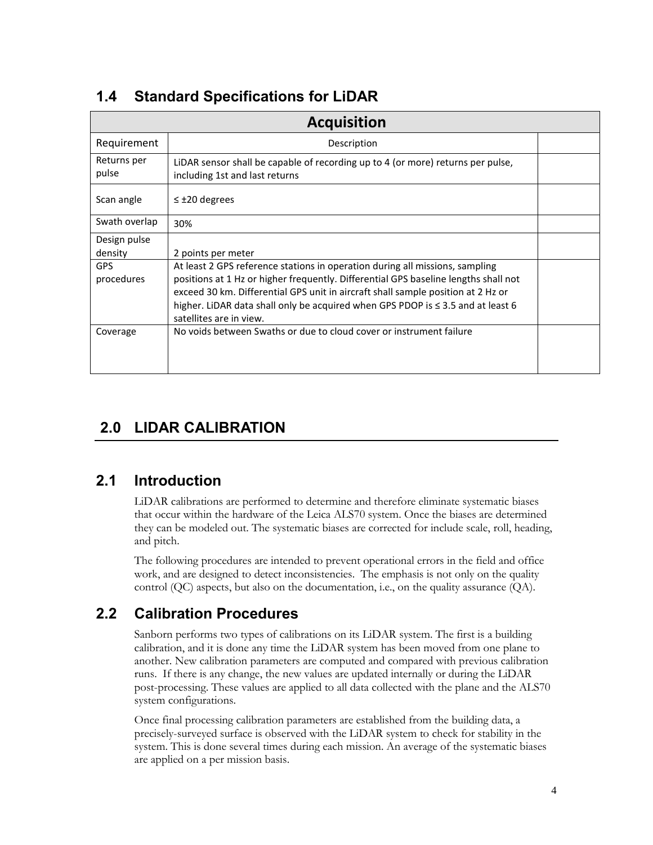### **Acquisition** Requirement | Description Returns per pulse LiDAR sensor shall be capable of recording up to 4 (or more) returns per pulse, including 1st and last returns Scan angle  $|\leq \pm 20$  degrees Swath overlap  $30\%$ Design pulse density 2 points per meter GPS procedures At least 2 GPS reference stations in operation during all missions, sampling positions at 1 Hz or higher frequently. Differential GPS baseline lengths shall not exceed 30 km. Differential GPS unit in aircraft shall sample position at 2 Hz or higher. LiDAR data shall only be acquired when GPS PDOP is ≤ 3.5 and at least 6 satellites are in view. Coverage | No voids between Swaths or due to cloud cover or instrument failure

# <span id="page-3-0"></span>**1.4 Standard Specifications for LiDAR**

# <span id="page-3-1"></span>**2.0 LIDAR CALIBRATION**

# <span id="page-3-2"></span>**2.1 Introduction**

LiDAR calibrations are performed to determine and therefore eliminate systematic biases that occur within the hardware of the Leica ALS70 system. Once the biases are determined they can be modeled out. The systematic biases are corrected for include scale, roll, heading, and pitch.

The following procedures are intended to prevent operational errors in the field and office work, and are designed to detect inconsistencies. The emphasis is not only on the quality control (QC) aspects, but also on the documentation, i.e., on the quality assurance (QA).

## <span id="page-3-3"></span>**2.2 Calibration Procedures**

Sanborn performs two types of calibrations on its LiDAR system. The first is a building calibration, and it is done any time the LiDAR system has been moved from one plane to another. New calibration parameters are computed and compared with previous calibration runs. If there is any change, the new values are updated internally or during the LiDAR post-processing. These values are applied to all data collected with the plane and the ALS70 system configurations.

Once final processing calibration parameters are established from the building data, a precisely-surveyed surface is observed with the LiDAR system to check for stability in the system. This is done several times during each mission. An average of the systematic biases are applied on a per mission basis.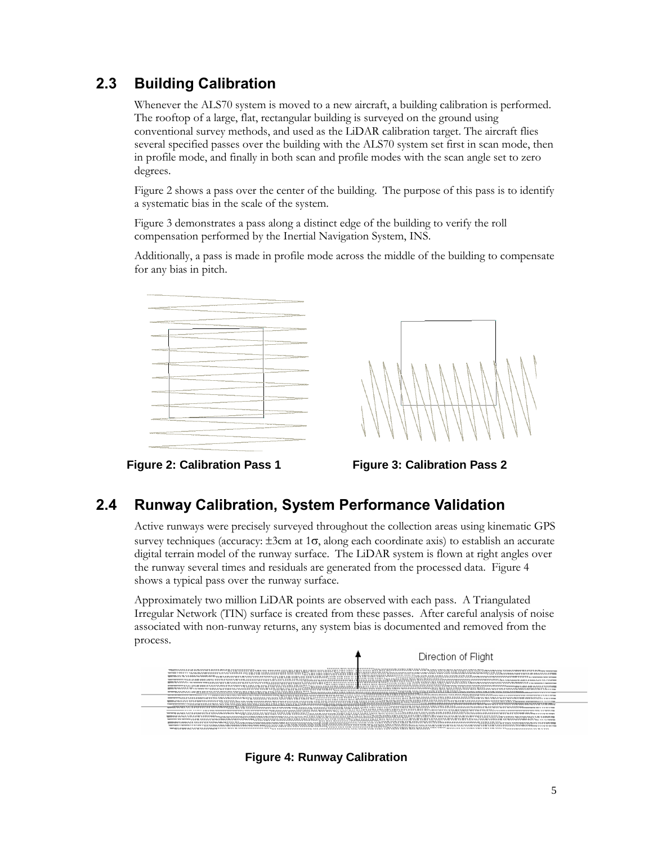# <span id="page-4-0"></span>**2.3 Building Calibration**

Whenever the ALS70 system is moved to a new aircraft, a building calibration is performed. The rooftop of a large, flat, rectangular building is surveyed on the ground using conventional survey methods, and used as the LiDAR calibration target. The aircraft flies several specified passes over the building with the ALS70 system set first in scan mode, then in profile mode, and finally in both scan and profile modes with the scan angle set to zero degrees.

Figure 2 shows a pass over the center of the building. The purpose of this pass is to identify a systematic bias in the scale of the system.

Figure 3 demonstrates a pass along a distinct edge of the building to verify the roll compensation performed by the Inertial Navigation System, INS.

Additionally, a pass is made in profile mode across the middle of the building to compensate for any bias in pitch.





<span id="page-4-2"></span>**Figure 2: Calibration Pass 1 Figure 3: Calibration Pass 2**

<span id="page-4-3"></span>

## <span id="page-4-1"></span>**2.4 Runway Calibration, System Performance Validation**

Active runways were precisely surveyed throughout the collection areas using kinematic GPS survey techniques (accuracy:  $\pm 3$ cm at 1 $\sigma$ , along each coordinate axis) to establish an accurate digital terrain model of the runway surface. The LiDAR system is flown at right angles over the runway several times and residuals are generated from the processed data. Figure 4 shows a typical pass over the runway surface.

Approximately two million LiDAR points are observed with each pass. A Triangulated Irregular Network (TIN) surface is created from these passes. After careful analysis of noise associated with non-runway returns, any system bias is documented and removed from the process.

<span id="page-4-4"></span>

**Figure 4: Runway Calibration**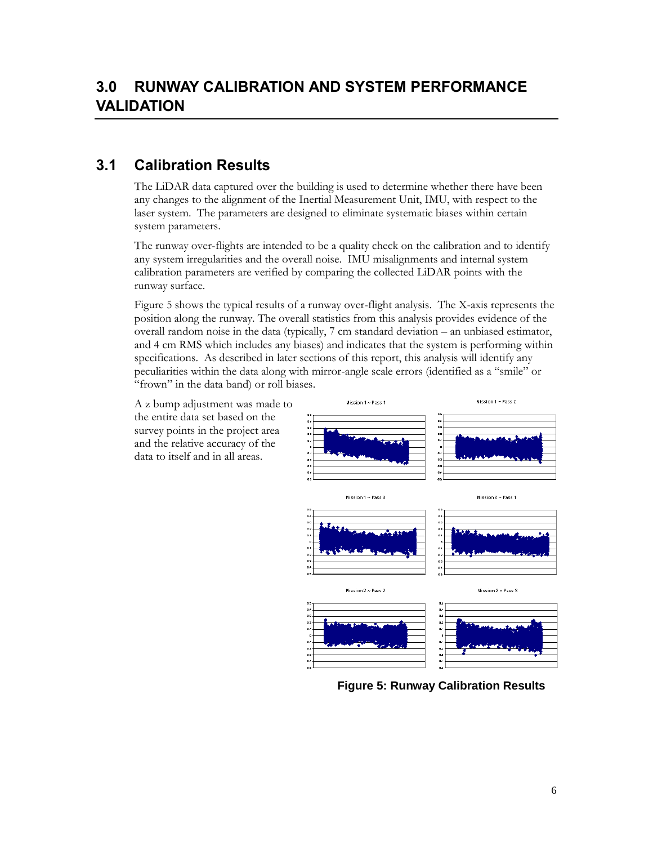## <span id="page-5-1"></span><span id="page-5-0"></span>**3.1 Calibration Results**

The LiDAR data captured over the building is used to determine whether there have been any changes to the alignment of the Inertial Measurement Unit, IMU, with respect to the laser system. The parameters are designed to eliminate systematic biases within certain system parameters.

The runway over-flights are intended to be a quality check on the calibration and to identify any system irregularities and the overall noise. IMU misalignments and internal system calibration parameters are verified by comparing the collected LiDAR points with the runway surface.

Figure 5 shows the typical results of a runway over-flight analysis. The X-axis represents the position along the runway. The overall statistics from this analysis provides evidence of the overall random noise in the data (typically, 7 cm standard deviation – an unbiased estimator, and 4 cm RMS which includes any biases) and indicates that the system is performing within specifications. As described in later sections of this report, this analysis will identify any peculiarities within the data along with mirror-angle scale errors (identified as a "smile" or "frown" in the data band) or roll biases.

A z bump adjustment was made to the entire data set based on the survey points in the project area and the relative accuracy of the data to itself and in all areas.



<span id="page-5-2"></span>**Figure 5: Runway Calibration Results**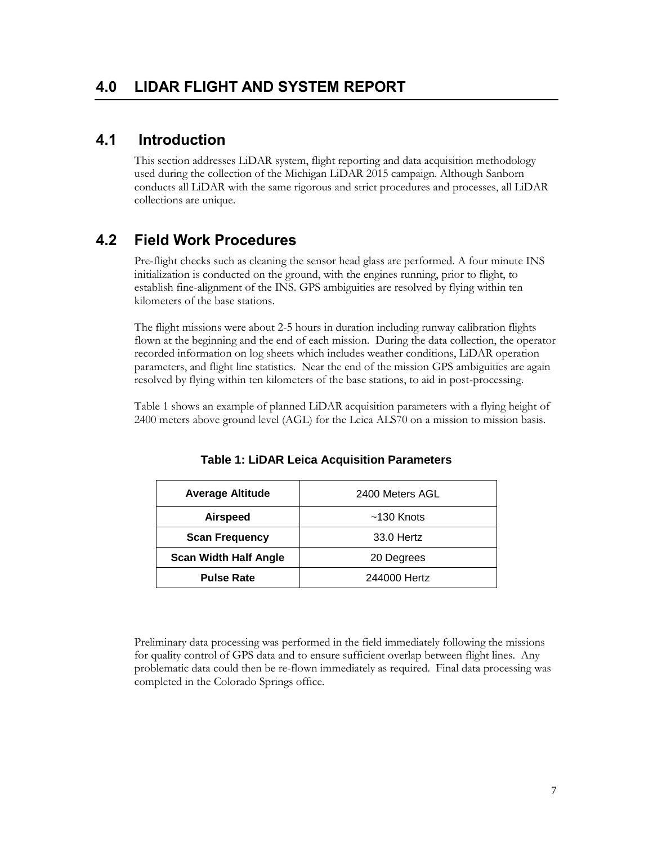### <span id="page-6-1"></span><span id="page-6-0"></span>**4.1 Introduction**

This section addresses LiDAR system, flight reporting and data acquisition methodology used during the collection of the Michigan LiDAR 2015 campaign. Although Sanborn conducts all LiDAR with the same rigorous and strict procedures and processes, all LiDAR collections are unique.

### <span id="page-6-2"></span>**4.2 Field Work Procedures**

Pre-flight checks such as cleaning the sensor head glass are performed. A four minute INS initialization is conducted on the ground, with the engines running, prior to flight, to establish fine-alignment of the INS. GPS ambiguities are resolved by flying within ten kilometers of the base stations.

The flight missions were about 2-5 hours in duration including runway calibration flights flown at the beginning and the end of each mission. During the data collection, the operator recorded information on log sheets which includes weather conditions, LiDAR operation parameters, and flight line statistics. Near the end of the mission GPS ambiguities are again resolved by flying within ten kilometers of the base stations, to aid in post-processing.

<span id="page-6-3"></span>Table 1 shows an example of planned LiDAR acquisition parameters with a flying height of 2400 meters above ground level (AGL) for the Leica ALS70 on a mission to mission basis.

| <b>Average Altitude</b>      | 2400 Meters AGL |  |  |
|------------------------------|-----------------|--|--|
| <b>Airspeed</b>              | $~130$ Knots    |  |  |
| <b>Scan Frequency</b>        | 33.0 Hertz      |  |  |
| <b>Scan Width Half Angle</b> | 20 Degrees      |  |  |
| <b>Pulse Rate</b>            | 244000 Hertz    |  |  |

**Table 1: LiDAR Leica Acquisition Parameters**

Preliminary data processing was performed in the field immediately following the missions for quality control of GPS data and to ensure sufficient overlap between flight lines. Any problematic data could then be re-flown immediately as required. Final data processing was completed in the Colorado Springs office.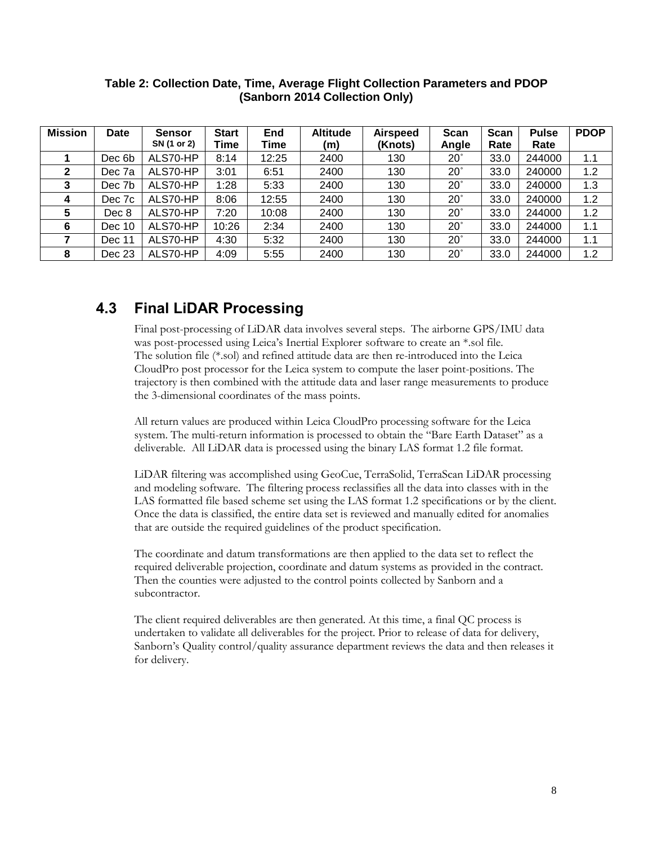| <b>Mission</b> | <b>Date</b> | <b>Sensor</b> | <b>Start</b> | End   | <b>Altitude</b> | <b>Airspeed</b> | <b>Scan</b> | <b>Scan</b> | <b>Pulse</b> | <b>PDOP</b> |
|----------------|-------------|---------------|--------------|-------|-----------------|-----------------|-------------|-------------|--------------|-------------|
|                |             | SN (1 or 2)   | Time         | Time  | (m)             | (Knots)         | Angle       | Rate        | Rate         |             |
|                | Dec 6b      | ALS70-HP      | 8:14         | 12:25 | 2400            | 130             | $20^\circ$  | 33.0        | 244000       | 1.1         |
| 2              | Dec 7a      | ALS70-HP      | 3:01         | 6:51  | 2400            | 130             | $20^\circ$  | 33.0        | 240000       | 1.2         |
| 3              | Dec 7b      | ALS70-HP      | 1:28         | 5:33  | 2400            | 130             | $20^\circ$  | 33.0        | 240000       | 1.3         |
| 4              | Dec 7c      | ALS70-HP      | 8:06         | 12:55 | 2400            | 130             | $20^\circ$  | 33.0        | 240000       | 1.2         |
| 5              | Dec 8       | ALS70-HP      | 7:20         | 10:08 | 2400            | 130             | $20^\circ$  | 33.0        | 244000       | 1.2         |
| 6              | Dec 10      | ALS70-HP      | 10:26        | 2:34  | 2400            | 130             | $20^\circ$  | 33.0        | 244000       | 1.1         |
|                | Dec 11      | ALS70-HP      | 4:30         | 5:32  | 2400            | 130             | $20^\circ$  | 33.0        | 244000       | 1.1         |
| 8              | Dec 23      | ALS70-HP      | 4:09         | 5:55  | 2400            | 130             | $20^\circ$  | 33.0        | 244000       | 1.2         |

#### <span id="page-7-1"></span>**Table 2: Collection Date, Time, Average Flight Collection Parameters and PDOP (Sanborn 2014 Collection Only)**

### <span id="page-7-0"></span>**4.3 Final LiDAR Processing**

Final post-processing of LiDAR data involves several steps. The airborne GPS/IMU data was post-processed using Leica's Inertial Explorer software to create an \*.sol file. The solution file (\*.sol) and refined attitude data are then re-introduced into the Leica CloudPro post processor for the Leica system to compute the laser point-positions. The trajectory is then combined with the attitude data and laser range measurements to produce the 3-dimensional coordinates of the mass points.

All return values are produced within Leica CloudPro processing software for the Leica system. The multi-return information is processed to obtain the "Bare Earth Dataset" as a deliverable. All LiDAR data is processed using the binary LAS format 1.2 file format.

LiDAR filtering was accomplished using GeoCue, TerraSolid, TerraScan LiDAR processing and modeling software. The filtering process reclassifies all the data into classes with in the LAS formatted file based scheme set using the LAS format 1.2 specifications or by the client. Once the data is classified, the entire data set is reviewed and manually edited for anomalies that are outside the required guidelines of the product specification.

The coordinate and datum transformations are then applied to the data set to reflect the required deliverable projection, coordinate and datum systems as provided in the contract. Then the counties were adjusted to the control points collected by Sanborn and a subcontractor.

The client required deliverables are then generated. At this time, a final QC process is undertaken to validate all deliverables for the project. Prior to release of data for delivery, Sanborn's Quality control/quality assurance department reviews the data and then releases it for delivery.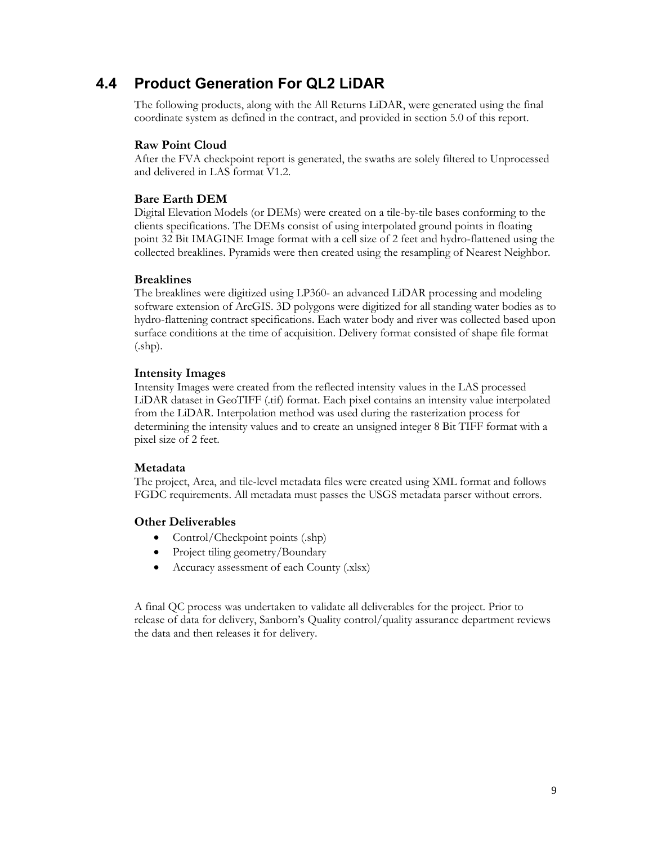### <span id="page-8-0"></span>**4.4 Product Generation For QL2 LiDAR**

The following products, along with the All Returns LiDAR, were generated using the final coordinate system as defined in the contract, and provided in section 5.0 of this report.

#### **Raw Point Cloud**

After the FVA checkpoint report is generated, the swaths are solely filtered to Unprocessed and delivered in LAS format V1.2.

#### **Bare Earth DEM**

Digital Elevation Models (or DEMs) were created on a tile-by-tile bases conforming to the clients specifications. The DEMs consist of using interpolated ground points in floating point 32 Bit IMAGINE Image format with a cell size of 2 feet and hydro-flattened using the collected breaklines. Pyramids were then created using the resampling of Nearest Neighbor.

#### **Breaklines**

The breaklines were digitized using LP360- an advanced LiDAR processing and modeling software extension of ArcGIS. 3D polygons were digitized for all standing water bodies as to hydro-flattening contract specifications. Each water body and river was collected based upon surface conditions at the time of acquisition. Delivery format consisted of shape file format (.shp).

#### **Intensity Images**

Intensity Images were created from the reflected intensity values in the LAS processed LiDAR dataset in GeoTIFF (.tif) format. Each pixel contains an intensity value interpolated from the LiDAR. Interpolation method was used during the rasterization process for determining the intensity values and to create an unsigned integer 8 Bit TIFF format with a pixel size of 2 feet.

#### **Metadata**

The project, Area, and tile-level metadata files were created using XML format and follows FGDC requirements. All metadata must passes the USGS metadata parser without errors.

#### **Other Deliverables**

- Control/Checkpoint points (.shp)
- Project tiling geometry/Boundary
- Accuracy assessment of each County (xlsx)

A final QC process was undertaken to validate all deliverables for the project. Prior to release of data for delivery, Sanborn's Quality control/quality assurance department reviews the data and then releases it for delivery.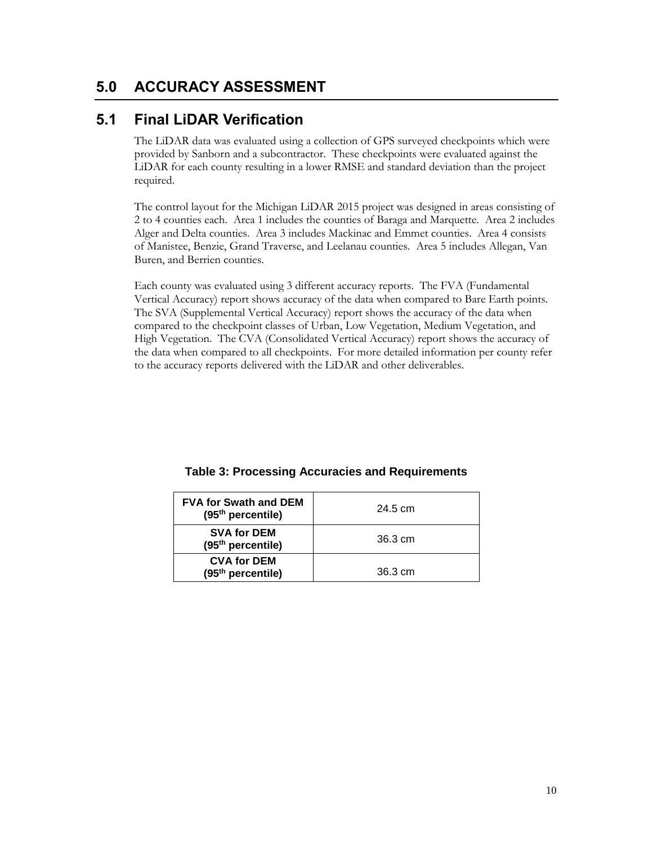### <span id="page-9-0"></span>**5.0 ACCURACY ASSESSMENT**

### <span id="page-9-1"></span>**5.1 Final LiDAR Verification**

The LiDAR data was evaluated using a collection of GPS surveyed checkpoints which were provided by Sanborn and a subcontractor. These checkpoints were evaluated against the LiDAR for each county resulting in a lower RMSE and standard deviation than the project required.

The control layout for the Michigan LiDAR 2015 project was designed in areas consisting of 2 to 4 counties each. Area 1 includes the counties of Baraga and Marquette. Area 2 includes Alger and Delta counties. Area 3 includes Mackinac and Emmet counties. Area 4 consists of Manistee, Benzie, Grand Traverse, and Leelanau counties. Area 5 includes Allegan, Van Buren, and Berrien counties.

Each county was evaluated using 3 different accuracy reports. The FVA (Fundamental Vertical Accuracy) report shows accuracy of the data when compared to Bare Earth points. The SVA (Supplemental Vertical Accuracy) report shows the accuracy of the data when compared to the checkpoint classes of Urban, Low Vegetation, Medium Vegetation, and High Vegetation. The CVA (Consolidated Vertical Accuracy) report shows the accuracy of the data when compared to all checkpoints. For more detailed information per county refer to the accuracy reports delivered with the LiDAR and other deliverables.

<span id="page-9-2"></span>

| <b>FVA for Swath and DEM</b><br>$(95th$ percentile) | 24.5 cm |
|-----------------------------------------------------|---------|
| <b>SVA for DEM</b><br>(95 <sup>th</sup> percentile) | 36.3 cm |
| <b>CVA for DEM</b><br>$(95th$ percentile)           | 36.3 cm |

**Table 3: Processing Accuracies and Requirements**